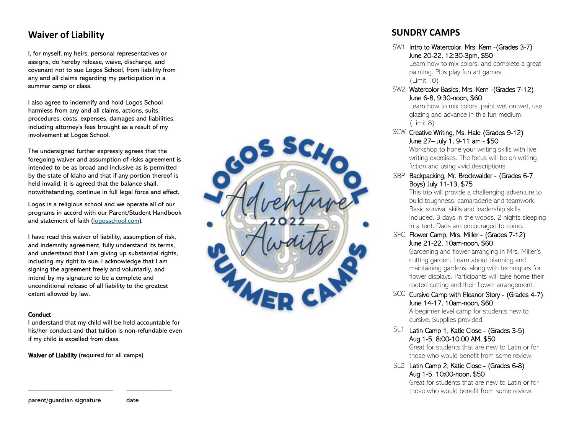## **Waiver of Liability**

I, for myself, my heirs, personal representatives or assigns, do hereby release, waive, discharge, and covenant not to sue Logos School, from liability from any and all claims regarding my participation in a summer camp or class.

I also agree to indemnify and hold Logos School harmless from any and all claims, actions, suits, procedures, costs, expenses, damages and liabilities, including attorney's fees brought as a result of my involvement at Logos School.

The undersigned further expressly agrees that the foregoing waiver and assumption of risks agreement is intended to be as broad and inclusive as is permitted by the state of Idaho and that if any portion thereof is held invalid, it is agreed that the balance shall, notwithstanding, continue in full legal force and effect.

Logos is a religious school and we operate all of our programs in accord with our Parent/Student Handbook and statement of faith ([logosschool.com\).](http://logosschool.com/)

I have read this waiver of liability, assumption of risk, and indemnity agreement, fully understand its terms, and understand that I am giving up substantial rights, including my right to sue. I acknowledge that I am signing the agreement freely and voluntarily, and intend by my signature to be a complete and unconditional release of all liability to the greatest extent allowed by law.

#### **Conduct**

I understand that my child will be held accountable for his/her conduct and that tuition is non -refundable even if my child is expelled from class.

\_\_\_\_\_\_\_\_\_\_\_\_\_\_\_\_\_\_\_\_\_\_\_\_\_\_ \_\_\_\_\_\_\_\_\_\_\_\_\_\_

Waiver of Liability (required for all camps)

SC.

### **SUNDRY CAMPS**

SW1 Intro to Watercolor, Mrs. Kern - (Grades 3-7) June 20 -22, 12:30 -3pm, \$50

Learn how to mix colors, and complete a great painting. Plus play fun art games. (Limit 10)

SW2 Watercolor Basics, Mrs. Kern - (Grades 7-12) June 6 -8, 9:30 -noon, \$60

> Learn how to mix colors, paint wet on wet, use glazing and advance in this fun medium. (Limit 8)

#### SCW Creative Writing, Ms. Hale (Grades 9-12) June 27 – July 1, 9 -11 am - \$50

Workshop to hone your writing skills with live writing exercises. The focus will be on writing fiction and using vivid descriptions.

SBP Backpacking, Mr. Brockwalder - (Grades 6-7 Boys) July 11 -13, \$75

> This trip will provide a challenging adventure to build toughness, camaraderie and teamwork. Basic survival skills and leadership skills included. 3 days in the woods, 2 nights sleeping in a tent. Dads are encouraged to come.

SFC Flower Camp, Mrs. Miller - (Grades 7-12) June 21 -22, 10am -noon, \$60

Gardening and flower arranging in Mrs. Miller's cutting garden. Learn about planning and maintaining gardens, along with techniques for flower displays. Participants will take home their rooted cutting and their flower arrangement.

SCC Cursive Camp with Eleanor Story - (Grades 4-7) June 14 -17, 10am -noon, \$60

A beginner level camp for students new to cursive. Supplies provided.

 $SL1$  Latin Camp 1, Katie Close - (Grades 3-5) Aug 1 -5, 8:00 -10:00 AM, \$50

> Great for students that are new to Latin or for those who would benefit from some review.

SL2 Latin Camp 2, Katie Close - (Grades 6-8) Aug 1 -5, 10:00 -noon, \$50

> Great for students that are new to Latin or for those who would benefit from some review.

parent/guardian signature date